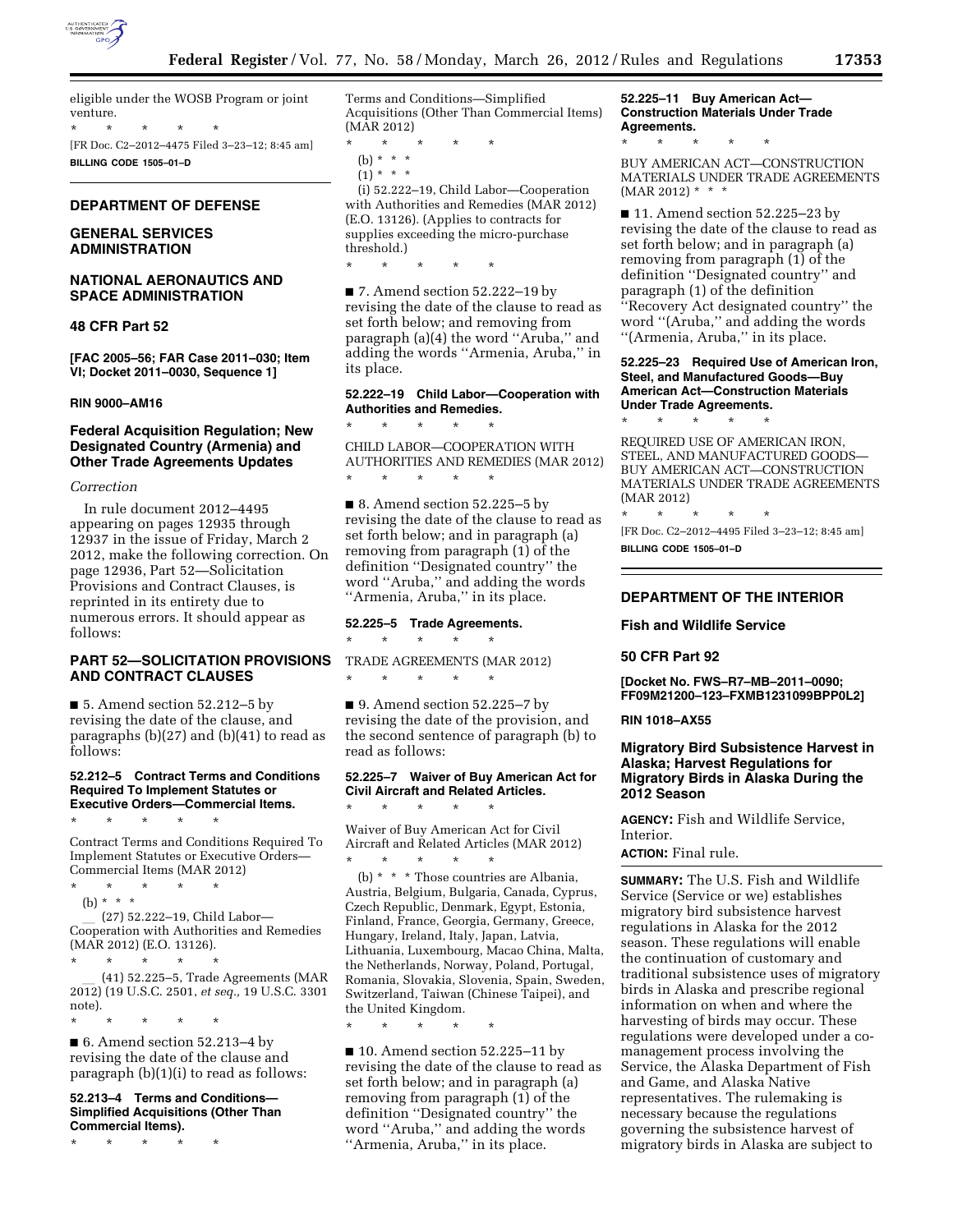

eligible under the WOSB Program or joint venture.

\* \* \* \* \* [FR Doc. C2–2012–4475 Filed 3–23–12; 8:45 am]

**BILLING CODE 1505–01–D** 

# **DEPARTMENT OF DEFENSE**

# **GENERAL SERVICES ADMINISTRATION**

# **NATIONAL AERONAUTICS AND SPACE ADMINISTRATION**

#### **48 CFR Part 52**

**[FAC 2005–56; FAR Case 2011–030; Item VI; Docket 2011–0030, Sequence 1]** 

# **RIN 9000–AM16**

## **Federal Acquisition Regulation; New Designated Country (Armenia) and Other Trade Agreements Updates**

#### *Correction*

In rule document 2012–4495 appearing on pages 12935 through 12937 in the issue of Friday, March 2 2012, make the following correction. On page 12936, Part 52—Solicitation Provisions and Contract Clauses, is reprinted in its entirety due to numerous errors. It should appear as follows:

# **PART 52—SOLICITATION PROVISIONS AND CONTRACT CLAUSES**

■ 5. Amend section 52.212–5 by revising the date of the clause, and paragraphs (b)(27) and (b)(41) to read as follows:

#### **52.212–5 Contract Terms and Conditions Required To Implement Statutes or Executive Orders—Commercial Items.**

\* \* \* \* \*

Contract Terms and Conditions Required To Implement Statutes or Executive Orders— Commercial Items (MAR 2012)

\* \* \* \* \* (b) \* \* \*

l (27) 52.222–19, Child Labor— Cooperation with Authorities and Remedies (MAR 2012) (E.O. 13126).

\* \* \* \* \* \* \* \* 41) 52.225–5, Trade Agreements (MAR l (41) 52.225–5, Trade Agreements (MAR 2012) (19 U.S.C. 2501, *et seq.,* 19 U.S.C. 3301 note).

■ 6. Amend section 52.213–4 by revising the date of the clause and paragraph (b)(1)(i) to read as follows:

#### **52.213–4 Terms and Conditions— Simplified Acquisitions (Other Than Commercial Items).**

\* \* \* \* \*

\* \* \* \* \*

Terms and Conditions—Simplified Acquisitions (Other Than Commercial Items) (MAR 2012)

- $\star$
- (b) \* \* \*  $(1) * * * *$

(i) 52.222–19, Child Labor—Cooperation with Authorities and Remedies (MAR 2012) (E.O. 13126). (Applies to contracts for supplies exceeding the micro-purchase threshold.)

\* \* \* \* \*

■ 7. Amend section 52.222–19 by revising the date of the clause to read as set forth below; and removing from paragraph (a)(4) the word ''Aruba,'' and adding the words ''Armenia, Aruba,'' in its place.

#### **52.222–19 Child Labor—Cooperation with Authorities and Remedies.**

\* \* \* \* \* CHILD LABOR—COOPERATION WITH AUTHORITIES AND REMEDIES (MAR 2012)

■ 8. Amend section 52.225–5 by revising the date of the clause to read as set forth below; and in paragraph (a) removing from paragraph (1) of the definition ''Designated country'' the word ''Aruba,'' and adding the words ''Armenia, Aruba,'' in its place.

# **52.225–5 Trade Agreements.**

\* \* \* \* \*

\* \* \* \* \*

\* \* \* \* \*

TRADE AGREEMENTS (MAR 2012)

■ 9. Amend section 52.225–7 by revising the date of the provision, and the second sentence of paragraph (b) to read as follows:

# **52.225–7 Waiver of Buy American Act for Civil Aircraft and Related Articles.**

\* \* \* \* \* Waiver of Buy American Act for Civil Aircraft and Related Articles (MAR 2012) \* \* \* \* \*

(b) \* \* \* Those countries are Albania, Austria, Belgium, Bulgaria, Canada, Cyprus, Czech Republic, Denmark, Egypt, Estonia, Finland, France, Georgia, Germany, Greece, Hungary, Ireland, Italy, Japan, Latvia, Lithuania, Luxembourg, Macao China, Malta, the Netherlands, Norway, Poland, Portugal, Romania, Slovakia, Slovenia, Spain, Sweden, Switzerland, Taiwan (Chinese Taipei), and the United Kingdom.

\* \* \* \* \*

■ 10. Amend section 52.225–11 by revising the date of the clause to read as set forth below; and in paragraph (a) removing from paragraph (1) of the definition ''Designated country'' the word ''Aruba,'' and adding the words ''Armenia, Aruba,'' in its place.

# **52.225–11 Buy American Act— Construction Materials Under Trade Agreements.**

\* \* \* \* \*

BUY AMERICAN ACT—CONSTRUCTION MATERIALS UNDER TRADE AGREEMENTS  $(MAR 2012)$  \* \* \*

■ 11. Amend section 52.225–23 by revising the date of the clause to read as set forth below; and in paragraph (a) removing from paragraph (1) of the definition ''Designated country'' and paragraph (1) of the definition ''Recovery Act designated country'' the word ''(Aruba,'' and adding the words ''(Armenia, Aruba,'' in its place.

#### **52.225–23 Required Use of American Iron, Steel, and Manufactured Goods—Buy American Act—Construction Materials Under Trade Agreements.**

\* \* \* \* \*

REQUIRED USE OF AMERICAN IRON, STEEL, AND MANUFACTURED GOODS— BUY AMERICAN ACT—CONSTRUCTION MATERIALS UNDER TRADE AGREEMENTS (MAR 2012)

\* \* \* \* \* [FR Doc. C2–2012–4495 Filed 3–23–12; 8:45 am] **BILLING CODE 1505–01–D** 

# **DEPARTMENT OF THE INTERIOR**

### **Fish and Wildlife Service**

### **50 CFR Part 92**

**[Docket No. FWS–R7–MB–2011–0090; FF09M21200–123–FXMB1231099BPP0L2]** 

#### **RIN 1018–AX55**

# **Migratory Bird Subsistence Harvest in Alaska; Harvest Regulations for Migratory Birds in Alaska During the 2012 Season**

**AGENCY:** Fish and Wildlife Service, Interior.

#### **ACTION:** Final rule.

**SUMMARY:** The U.S. Fish and Wildlife Service (Service or we) establishes migratory bird subsistence harvest regulations in Alaska for the 2012 season. These regulations will enable the continuation of customary and traditional subsistence uses of migratory birds in Alaska and prescribe regional information on when and where the harvesting of birds may occur. These regulations were developed under a comanagement process involving the Service, the Alaska Department of Fish and Game, and Alaska Native representatives. The rulemaking is necessary because the regulations governing the subsistence harvest of migratory birds in Alaska are subject to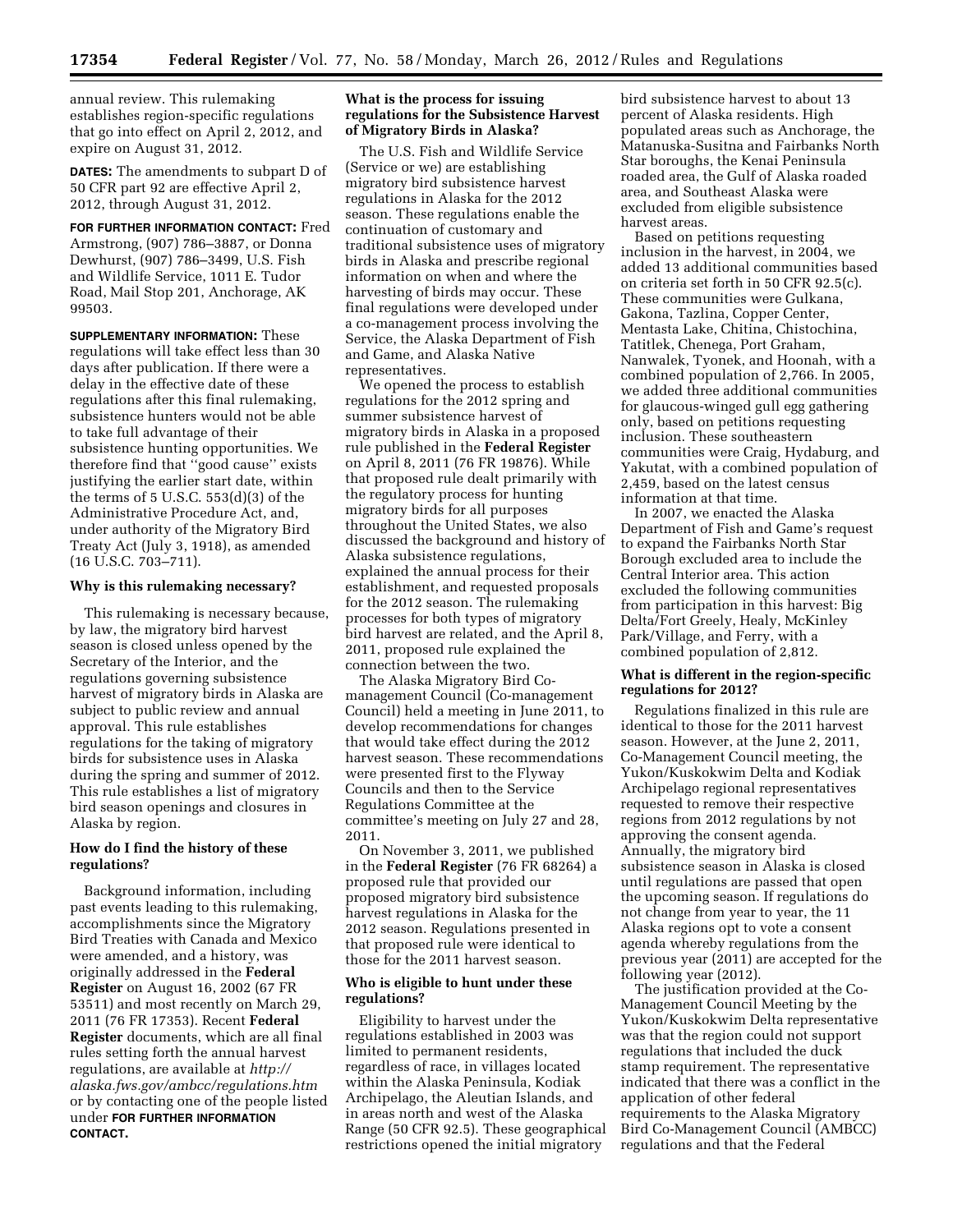annual review. This rulemaking establishes region-specific regulations that go into effect on April 2, 2012, and expire on August 31, 2012.

**DATES:** The amendments to subpart D of 50 CFR part 92 are effective April 2, 2012, through August 31, 2012.

**FOR FURTHER INFORMATION CONTACT:** Fred Armstrong, (907) 786–3887, or Donna Dewhurst, (907) 786–3499, U.S. Fish and Wildlife Service, 1011 E. Tudor Road, Mail Stop 201, Anchorage, AK 99503.

**SUPPLEMENTARY INFORMATION:** These regulations will take effect less than 30 days after publication. If there were a delay in the effective date of these regulations after this final rulemaking, subsistence hunters would not be able to take full advantage of their subsistence hunting opportunities. We therefore find that ''good cause'' exists justifying the earlier start date, within the terms of  $5 \text{ U.S.C. } 553\text{ (d)}(3)$  of the Administrative Procedure Act, and, under authority of the Migratory Bird Treaty Act (July 3, 1918), as amended (16 U.S.C. 703–711).

# **Why is this rulemaking necessary?**

This rulemaking is necessary because, by law, the migratory bird harvest season is closed unless opened by the Secretary of the Interior, and the regulations governing subsistence harvest of migratory birds in Alaska are subject to public review and annual approval. This rule establishes regulations for the taking of migratory birds for subsistence uses in Alaska during the spring and summer of 2012. This rule establishes a list of migratory bird season openings and closures in Alaska by region.

# **How do I find the history of these regulations?**

Background information, including past events leading to this rulemaking, accomplishments since the Migratory Bird Treaties with Canada and Mexico were amended, and a history, was originally addressed in the **Federal Register** on August 16, 2002 (67 FR 53511) and most recently on March 29, 2011 (76 FR 17353). Recent **Federal Register** documents, which are all final rules setting forth the annual harvest regulations, are available at *[http://](http://alaska.fws.gov/ambcc/regulations.htm)  [alaska.fws.gov/ambcc/regulations.htm](http://alaska.fws.gov/ambcc/regulations.htm)*  or by contacting one of the people listed under **FOR FURTHER INFORMATION CONTACT.** 

### **What is the process for issuing regulations for the Subsistence Harvest of Migratory Birds in Alaska?**

The U.S. Fish and Wildlife Service (Service or we) are establishing migratory bird subsistence harvest regulations in Alaska for the 2012 season. These regulations enable the continuation of customary and traditional subsistence uses of migratory birds in Alaska and prescribe regional information on when and where the harvesting of birds may occur. These final regulations were developed under a co-management process involving the Service, the Alaska Department of Fish and Game, and Alaska Native representatives.

We opened the process to establish regulations for the 2012 spring and summer subsistence harvest of migratory birds in Alaska in a proposed rule published in the **Federal Register**  on April 8, 2011 (76 FR 19876). While that proposed rule dealt primarily with the regulatory process for hunting migratory birds for all purposes throughout the United States, we also discussed the background and history of Alaska subsistence regulations, explained the annual process for their establishment, and requested proposals for the 2012 season. The rulemaking processes for both types of migratory bird harvest are related, and the April 8, 2011, proposed rule explained the connection between the two.

The Alaska Migratory Bird Comanagement Council (Co-management Council) held a meeting in June 2011, to develop recommendations for changes that would take effect during the 2012 harvest season. These recommendations were presented first to the Flyway Councils and then to the Service Regulations Committee at the committee's meeting on July 27 and 28, 2011.

On November 3, 2011, we published in the **Federal Register** (76 FR 68264) a proposed rule that provided our proposed migratory bird subsistence harvest regulations in Alaska for the 2012 season. Regulations presented in that proposed rule were identical to those for the 2011 harvest season.

### **Who is eligible to hunt under these regulations?**

Eligibility to harvest under the regulations established in 2003 was limited to permanent residents, regardless of race, in villages located within the Alaska Peninsula, Kodiak Archipelago, the Aleutian Islands, and in areas north and west of the Alaska Range (50 CFR 92.5). These geographical restrictions opened the initial migratory

bird subsistence harvest to about 13 percent of Alaska residents. High populated areas such as Anchorage, the Matanuska-Susitna and Fairbanks North Star boroughs, the Kenai Peninsula roaded area, the Gulf of Alaska roaded area, and Southeast Alaska were excluded from eligible subsistence harvest areas.

Based on petitions requesting inclusion in the harvest, in 2004, we added 13 additional communities based on criteria set forth in 50 CFR 92.5(c). These communities were Gulkana, Gakona, Tazlina, Copper Center, Mentasta Lake, Chitina, Chistochina, Tatitlek, Chenega, Port Graham, Nanwalek, Tyonek, and Hoonah, with a combined population of 2,766. In 2005, we added three additional communities for glaucous-winged gull egg gathering only, based on petitions requesting inclusion. These southeastern communities were Craig, Hydaburg, and Yakutat, with a combined population of 2,459, based on the latest census information at that time.

In 2007, we enacted the Alaska Department of Fish and Game's request to expand the Fairbanks North Star Borough excluded area to include the Central Interior area. This action excluded the following communities from participation in this harvest: Big Delta/Fort Greely, Healy, McKinley Park/Village, and Ferry, with a combined population of 2,812.

# **What is different in the region-specific regulations for 2012?**

Regulations finalized in this rule are identical to those for the 2011 harvest season. However, at the June 2, 2011, Co-Management Council meeting, the Yukon/Kuskokwim Delta and Kodiak Archipelago regional representatives requested to remove their respective regions from 2012 regulations by not approving the consent agenda. Annually, the migratory bird subsistence season in Alaska is closed until regulations are passed that open the upcoming season. If regulations do not change from year to year, the 11 Alaska regions opt to vote a consent agenda whereby regulations from the previous year (2011) are accepted for the following year (2012).

The justification provided at the Co-Management Council Meeting by the Yukon/Kuskokwim Delta representative was that the region could not support regulations that included the duck stamp requirement. The representative indicated that there was a conflict in the application of other federal requirements to the Alaska Migratory Bird Co-Management Council (AMBCC) regulations and that the Federal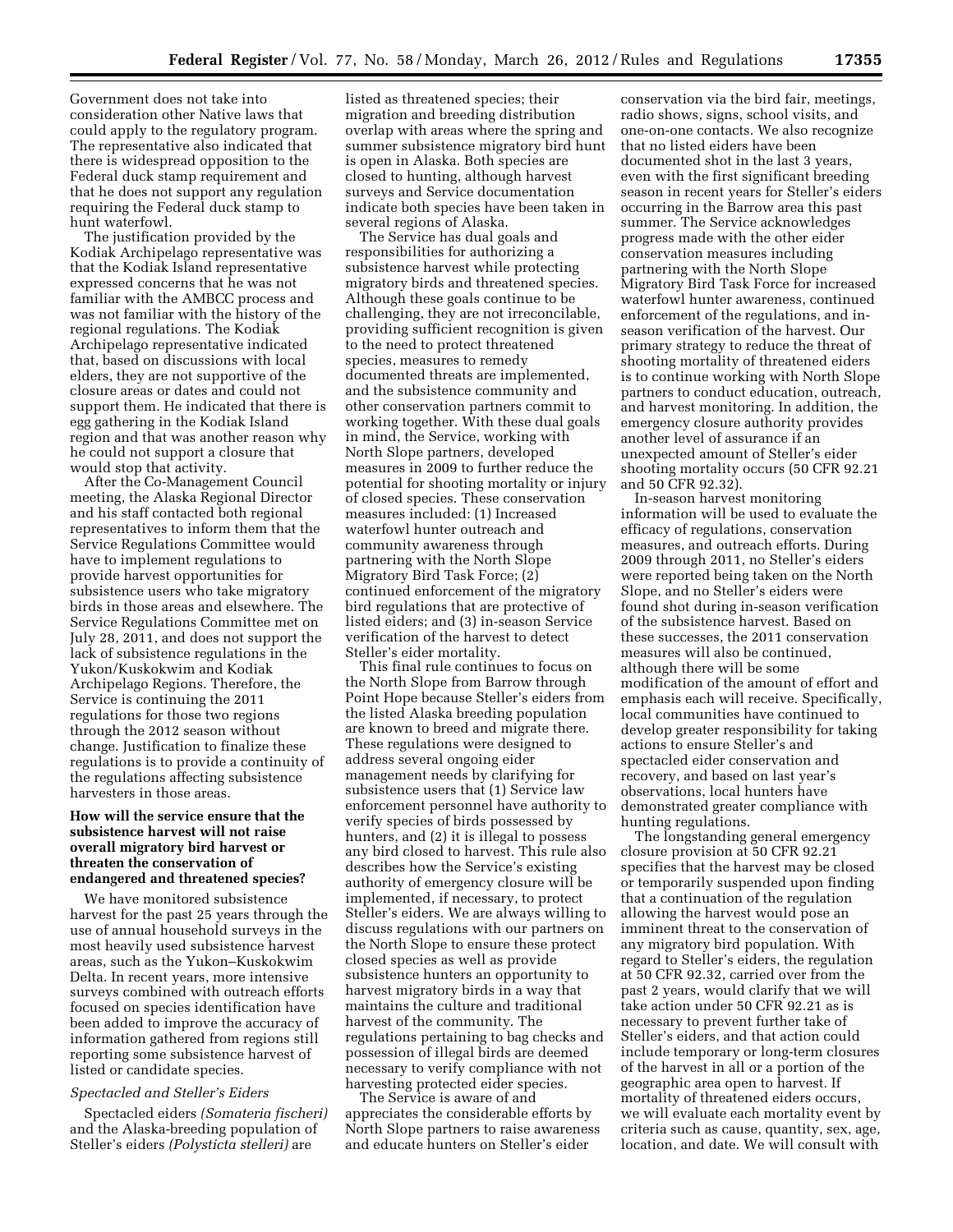Government does not take into consideration other Native laws that could apply to the regulatory program. The representative also indicated that there is widespread opposition to the Federal duck stamp requirement and that he does not support any regulation requiring the Federal duck stamp to hunt waterfowl.

The justification provided by the Kodiak Archipelago representative was that the Kodiak Island representative expressed concerns that he was not familiar with the AMBCC process and was not familiar with the history of the regional regulations. The Kodiak Archipelago representative indicated that, based on discussions with local elders, they are not supportive of the closure areas or dates and could not support them. He indicated that there is egg gathering in the Kodiak Island region and that was another reason why he could not support a closure that would stop that activity.

After the Co-Management Council meeting, the Alaska Regional Director and his staff contacted both regional representatives to inform them that the Service Regulations Committee would have to implement regulations to provide harvest opportunities for subsistence users who take migratory birds in those areas and elsewhere. The Service Regulations Committee met on July 28, 2011, and does not support the lack of subsistence regulations in the Yukon/Kuskokwim and Kodiak Archipelago Regions. Therefore, the Service is continuing the 2011 regulations for those two regions through the 2012 season without change. Justification to finalize these regulations is to provide a continuity of the regulations affecting subsistence harvesters in those areas.

## **How will the service ensure that the subsistence harvest will not raise overall migratory bird harvest or threaten the conservation of endangered and threatened species?**

We have monitored subsistence harvest for the past 25 years through the use of annual household surveys in the most heavily used subsistence harvest areas, such as the Yukon–Kuskokwim Delta. In recent years, more intensive surveys combined with outreach efforts focused on species identification have been added to improve the accuracy of information gathered from regions still reporting some subsistence harvest of listed or candidate species.

# *Spectacled and Steller's Eiders*

Spectacled eiders *(Somateria fischeri)*  and the Alaska-breeding population of Steller's eiders *(Polysticta stelleri)* are

listed as threatened species; their migration and breeding distribution overlap with areas where the spring and summer subsistence migratory bird hunt is open in Alaska. Both species are closed to hunting, although harvest surveys and Service documentation indicate both species have been taken in several regions of Alaska.

The Service has dual goals and responsibilities for authorizing a subsistence harvest while protecting migratory birds and threatened species. Although these goals continue to be challenging, they are not irreconcilable, providing sufficient recognition is given to the need to protect threatened species, measures to remedy documented threats are implemented, and the subsistence community and other conservation partners commit to working together. With these dual goals in mind, the Service, working with North Slope partners, developed measures in 2009 to further reduce the potential for shooting mortality or injury of closed species. These conservation measures included: (1) Increased waterfowl hunter outreach and community awareness through partnering with the North Slope Migratory Bird Task Force; (2) continued enforcement of the migratory bird regulations that are protective of listed eiders; and (3) in-season Service verification of the harvest to detect Steller's eider mortality.

This final rule continues to focus on the North Slope from Barrow through Point Hope because Steller's eiders from the listed Alaska breeding population are known to breed and migrate there. These regulations were designed to address several ongoing eider management needs by clarifying for subsistence users that (1) Service law enforcement personnel have authority to verify species of birds possessed by hunters, and (2) it is illegal to possess any bird closed to harvest. This rule also describes how the Service's existing authority of emergency closure will be implemented, if necessary, to protect Steller's eiders. We are always willing to discuss regulations with our partners on the North Slope to ensure these protect closed species as well as provide subsistence hunters an opportunity to harvest migratory birds in a way that maintains the culture and traditional harvest of the community. The regulations pertaining to bag checks and possession of illegal birds are deemed necessary to verify compliance with not harvesting protected eider species.

The Service is aware of and appreciates the considerable efforts by North Slope partners to raise awareness and educate hunters on Steller's eider

conservation via the bird fair, meetings, radio shows, signs, school visits, and one-on-one contacts. We also recognize that no listed eiders have been documented shot in the last 3 years, even with the first significant breeding season in recent years for Steller's eiders occurring in the Barrow area this past summer. The Service acknowledges progress made with the other eider conservation measures including partnering with the North Slope Migratory Bird Task Force for increased waterfowl hunter awareness, continued enforcement of the regulations, and inseason verification of the harvest. Our primary strategy to reduce the threat of shooting mortality of threatened eiders is to continue working with North Slope partners to conduct education, outreach, and harvest monitoring. In addition, the emergency closure authority provides another level of assurance if an unexpected amount of Steller's eider shooting mortality occurs (50 CFR 92.21 and 50 CFR 92.32).

In-season harvest monitoring information will be used to evaluate the efficacy of regulations, conservation measures, and outreach efforts. During 2009 through 2011, no Steller's eiders were reported being taken on the North Slope, and no Steller's eiders were found shot during in-season verification of the subsistence harvest. Based on these successes, the 2011 conservation measures will also be continued, although there will be some modification of the amount of effort and emphasis each will receive. Specifically, local communities have continued to develop greater responsibility for taking actions to ensure Steller's and spectacled eider conservation and recovery, and based on last year's observations, local hunters have demonstrated greater compliance with hunting regulations.

The longstanding general emergency closure provision at 50 CFR 92.21 specifies that the harvest may be closed or temporarily suspended upon finding that a continuation of the regulation allowing the harvest would pose an imminent threat to the conservation of any migratory bird population. With regard to Steller's eiders, the regulation at 50 CFR 92.32, carried over from the past 2 years, would clarify that we will take action under 50 CFR 92.21 as is necessary to prevent further take of Steller's eiders, and that action could include temporary or long-term closures of the harvest in all or a portion of the geographic area open to harvest. If mortality of threatened eiders occurs, we will evaluate each mortality event by criteria such as cause, quantity, sex, age, location, and date. We will consult with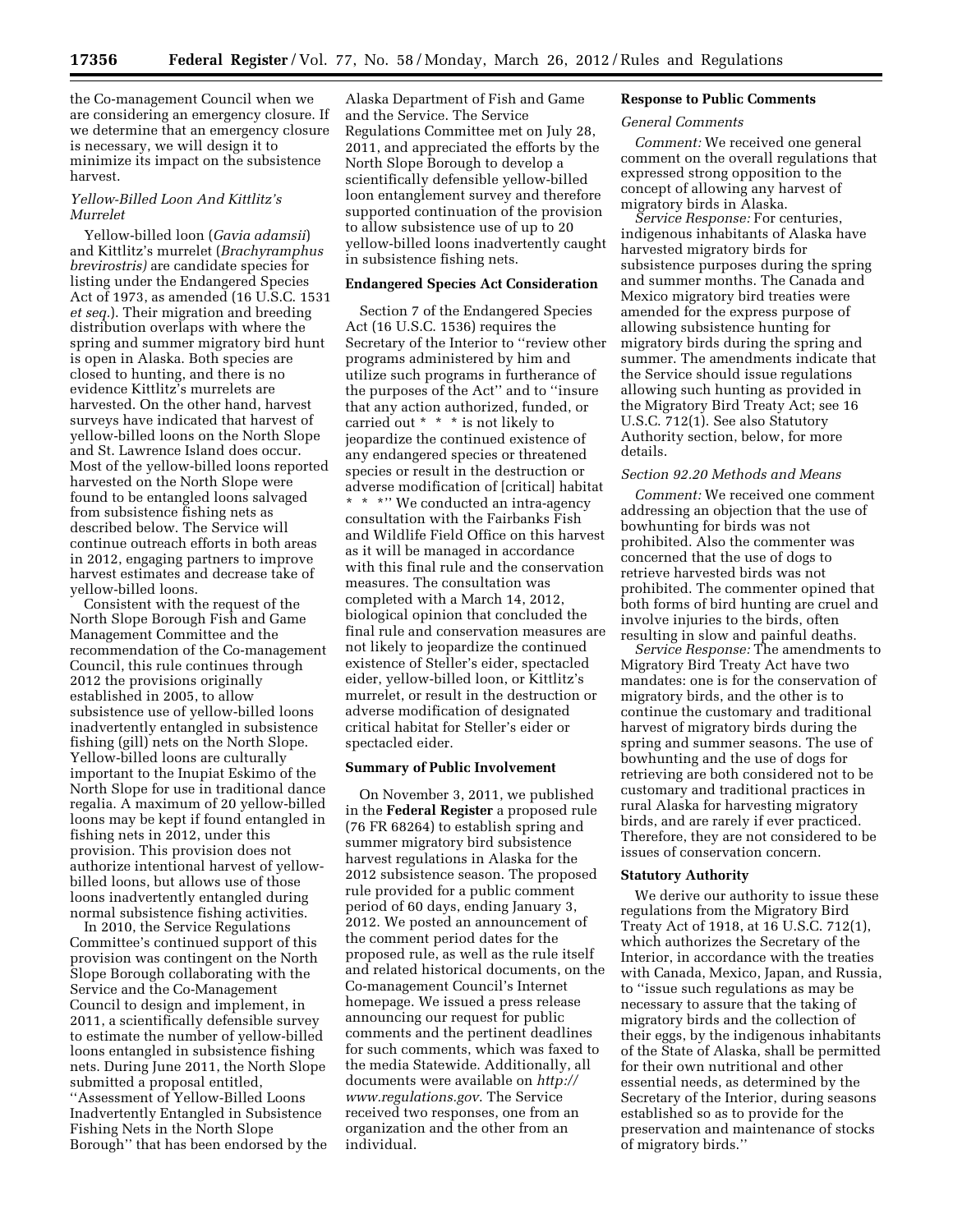the Co-management Council when we are considering an emergency closure. If we determine that an emergency closure is necessary, we will design it to minimize its impact on the subsistence harvest.

# *Yellow-Billed Loon And Kittlitz's Murrelet*

Yellow-billed loon (*Gavia adamsii*) and Kittlitz's murrelet (*Brachyramphus brevirostris)* are candidate species for listing under the Endangered Species Act of 1973, as amended (16 U.S.C. 1531 *et seq.*). Their migration and breeding distribution overlaps with where the spring and summer migratory bird hunt is open in Alaska. Both species are closed to hunting, and there is no evidence Kittlitz's murrelets are harvested. On the other hand, harvest surveys have indicated that harvest of yellow-billed loons on the North Slope and St. Lawrence Island does occur. Most of the yellow-billed loons reported harvested on the North Slope were found to be entangled loons salvaged from subsistence fishing nets as described below. The Service will continue outreach efforts in both areas in 2012, engaging partners to improve harvest estimates and decrease take of yellow-billed loons.

Consistent with the request of the North Slope Borough Fish and Game Management Committee and the recommendation of the Co-management Council, this rule continues through 2012 the provisions originally established in 2005, to allow subsistence use of yellow-billed loons inadvertently entangled in subsistence fishing (gill) nets on the North Slope. Yellow-billed loons are culturally important to the Inupiat Eskimo of the North Slope for use in traditional dance regalia. A maximum of 20 yellow-billed loons may be kept if found entangled in fishing nets in 2012, under this provision. This provision does not authorize intentional harvest of yellowbilled loons, but allows use of those loons inadvertently entangled during normal subsistence fishing activities.

In 2010, the Service Regulations Committee's continued support of this provision was contingent on the North Slope Borough collaborating with the Service and the Co-Management Council to design and implement, in 2011, a scientifically defensible survey to estimate the number of yellow-billed loons entangled in subsistence fishing nets. During June 2011, the North Slope submitted a proposal entitled, ''Assessment of Yellow-Billed Loons Inadvertently Entangled in Subsistence Fishing Nets in the North Slope Borough'' that has been endorsed by the Alaska Department of Fish and Game and the Service. The Service Regulations Committee met on July 28, 2011, and appreciated the efforts by the North Slope Borough to develop a scientifically defensible yellow-billed loon entanglement survey and therefore supported continuation of the provision to allow subsistence use of up to 20 yellow-billed loons inadvertently caught in subsistence fishing nets.

### **Endangered Species Act Consideration**

Section 7 of the Endangered Species Act (16 U.S.C. 1536) requires the Secretary of the Interior to ''review other programs administered by him and utilize such programs in furtherance of the purposes of the Act'' and to ''insure that any action authorized, funded, or carried out \* \* \* is not likely to jeopardize the continued existence of any endangered species or threatened species or result in the destruction or adverse modification of [critical] habitat \* \* \*'' We conducted an intra-agency consultation with the Fairbanks Fish and Wildlife Field Office on this harvest as it will be managed in accordance with this final rule and the conservation measures. The consultation was completed with a March 14, 2012, biological opinion that concluded the final rule and conservation measures are not likely to jeopardize the continued existence of Steller's eider, spectacled eider, yellow-billed loon, or Kittlitz's murrelet, or result in the destruction or adverse modification of designated critical habitat for Steller's eider or spectacled eider.

# **Summary of Public Involvement**

On November 3, 2011, we published in the **Federal Register** a proposed rule (76 FR 68264) to establish spring and summer migratory bird subsistence harvest regulations in Alaska for the 2012 subsistence season. The proposed rule provided for a public comment period of 60 days, ending January 3, 2012. We posted an announcement of the comment period dates for the proposed rule, as well as the rule itself and related historical documents, on the Co-management Council's Internet homepage. We issued a press release announcing our request for public comments and the pertinent deadlines for such comments, which was faxed to the media Statewide. Additionally, all documents were available on *[http://](http://www.regulations.gov) [www.regulations.gov](http://www.regulations.gov)*. The Service received two responses, one from an organization and the other from an individual.

#### **Response to Public Comments**

#### *General Comments*

*Comment:* We received one general comment on the overall regulations that expressed strong opposition to the concept of allowing any harvest of migratory birds in Alaska.

*Service Response:* For centuries, indigenous inhabitants of Alaska have harvested migratory birds for subsistence purposes during the spring and summer months. The Canada and Mexico migratory bird treaties were amended for the express purpose of allowing subsistence hunting for migratory birds during the spring and summer. The amendments indicate that the Service should issue regulations allowing such hunting as provided in the Migratory Bird Treaty Act; see 16 U.S.C. 712(1). See also Statutory Authority section, below, for more details.

#### *Section 92.20 Methods and Means*

*Comment:* We received one comment addressing an objection that the use of bowhunting for birds was not prohibited. Also the commenter was concerned that the use of dogs to retrieve harvested birds was not prohibited. The commenter opined that both forms of bird hunting are cruel and involve injuries to the birds, often resulting in slow and painful deaths.

*Service Response:* The amendments to Migratory Bird Treaty Act have two mandates: one is for the conservation of migratory birds, and the other is to continue the customary and traditional harvest of migratory birds during the spring and summer seasons. The use of bowhunting and the use of dogs for retrieving are both considered not to be customary and traditional practices in rural Alaska for harvesting migratory birds, and are rarely if ever practiced. Therefore, they are not considered to be issues of conservation concern.

#### **Statutory Authority**

We derive our authority to issue these regulations from the Migratory Bird Treaty Act of 1918, at 16 U.S.C. 712(1), which authorizes the Secretary of the Interior, in accordance with the treaties with Canada, Mexico, Japan, and Russia, to ''issue such regulations as may be necessary to assure that the taking of migratory birds and the collection of their eggs, by the indigenous inhabitants of the State of Alaska, shall be permitted for their own nutritional and other essential needs, as determined by the Secretary of the Interior, during seasons established so as to provide for the preservation and maintenance of stocks of migratory birds.''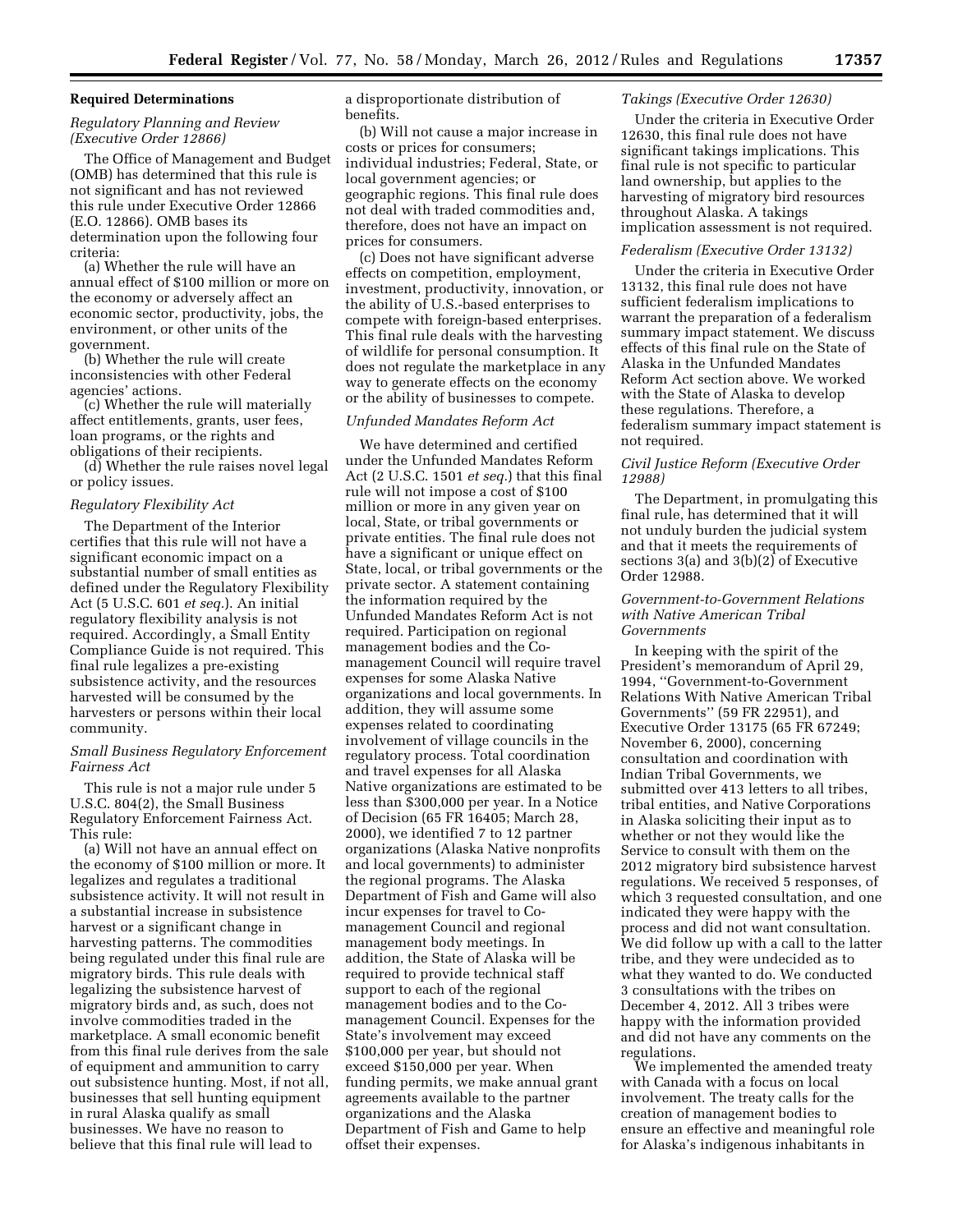### **Required Determinations**

# *Regulatory Planning and Review (Executive Order 12866)*

The Office of Management and Budget (OMB) has determined that this rule is not significant and has not reviewed this rule under Executive Order 12866 (E.O. 12866). OMB bases its determination upon the following four criteria:

(a) Whether the rule will have an annual effect of \$100 million or more on the economy or adversely affect an economic sector, productivity, jobs, the environment, or other units of the government.

(b) Whether the rule will create inconsistencies with other Federal agencies' actions.

(c) Whether the rule will materially affect entitlements, grants, user fees, loan programs, or the rights and obligations of their recipients.

(d) Whether the rule raises novel legal or policy issues.

#### *Regulatory Flexibility Act*

The Department of the Interior certifies that this rule will not have a significant economic impact on a substantial number of small entities as defined under the Regulatory Flexibility Act (5 U.S.C. 601 *et seq.*). An initial regulatory flexibility analysis is not required. Accordingly, a Small Entity Compliance Guide is not required. This final rule legalizes a pre-existing subsistence activity, and the resources harvested will be consumed by the harvesters or persons within their local community.

# *Small Business Regulatory Enforcement Fairness Act*

This rule is not a major rule under 5 U.S.C. 804(2), the Small Business Regulatory Enforcement Fairness Act. This rule:

(a) Will not have an annual effect on the economy of \$100 million or more. It legalizes and regulates a traditional subsistence activity. It will not result in a substantial increase in subsistence harvest or a significant change in harvesting patterns. The commodities being regulated under this final rule are migratory birds. This rule deals with legalizing the subsistence harvest of migratory birds and, as such, does not involve commodities traded in the marketplace. A small economic benefit from this final rule derives from the sale of equipment and ammunition to carry out subsistence hunting. Most, if not all, businesses that sell hunting equipment in rural Alaska qualify as small businesses. We have no reason to believe that this final rule will lead to

a disproportionate distribution of benefits.

(b) Will not cause a major increase in costs or prices for consumers; individual industries; Federal, State, or local government agencies; or geographic regions. This final rule does not deal with traded commodities and, therefore, does not have an impact on prices for consumers.

(c) Does not have significant adverse effects on competition, employment, investment, productivity, innovation, or the ability of U.S.-based enterprises to compete with foreign-based enterprises. This final rule deals with the harvesting of wildlife for personal consumption. It does not regulate the marketplace in any way to generate effects on the economy or the ability of businesses to compete.

# *Unfunded Mandates Reform Act*

We have determined and certified under the Unfunded Mandates Reform Act (2 U.S.C. 1501 *et seq.*) that this final rule will not impose a cost of \$100 million or more in any given year on local, State, or tribal governments or private entities. The final rule does not have a significant or unique effect on State, local, or tribal governments or the private sector. A statement containing the information required by the Unfunded Mandates Reform Act is not required. Participation on regional management bodies and the Comanagement Council will require travel expenses for some Alaska Native organizations and local governments. In addition, they will assume some expenses related to coordinating involvement of village councils in the regulatory process. Total coordination and travel expenses for all Alaska Native organizations are estimated to be less than \$300,000 per year. In a Notice of Decision (65 FR 16405; March 28, 2000), we identified 7 to 12 partner organizations (Alaska Native nonprofits and local governments) to administer the regional programs. The Alaska Department of Fish and Game will also incur expenses for travel to Comanagement Council and regional management body meetings. In addition, the State of Alaska will be required to provide technical staff support to each of the regional management bodies and to the Comanagement Council. Expenses for the State's involvement may exceed \$100,000 per year, but should not exceed \$150,000 per year. When funding permits, we make annual grant agreements available to the partner organizations and the Alaska Department of Fish and Game to help offset their expenses.

#### *Takings (Executive Order 12630)*

Under the criteria in Executive Order 12630, this final rule does not have significant takings implications. This final rule is not specific to particular land ownership, but applies to the harvesting of migratory bird resources throughout Alaska. A takings implication assessment is not required.

#### *Federalism (Executive Order 13132)*

Under the criteria in Executive Order 13132, this final rule does not have sufficient federalism implications to warrant the preparation of a federalism summary impact statement. We discuss effects of this final rule on the State of Alaska in the Unfunded Mandates Reform Act section above. We worked with the State of Alaska to develop these regulations. Therefore, a federalism summary impact statement is not required.

#### *Civil Justice Reform (Executive Order 12988)*

The Department, in promulgating this final rule, has determined that it will not unduly burden the judicial system and that it meets the requirements of sections 3(a) and 3(b)(2) of Executive Order 12988.

### *Government-to-Government Relations with Native American Tribal Governments*

In keeping with the spirit of the President's memorandum of April 29, 1994, ''Government-to-Government Relations With Native American Tribal Governments'' (59 FR 22951), and Executive Order 13175 (65 FR 67249; November 6, 2000), concerning consultation and coordination with Indian Tribal Governments, we submitted over 413 letters to all tribes, tribal entities, and Native Corporations in Alaska soliciting their input as to whether or not they would like the Service to consult with them on the 2012 migratory bird subsistence harvest regulations. We received 5 responses, of which 3 requested consultation, and one indicated they were happy with the process and did not want consultation. We did follow up with a call to the latter tribe, and they were undecided as to what they wanted to do. We conducted 3 consultations with the tribes on December 4, 2012. All 3 tribes were happy with the information provided and did not have any comments on the regulations.

We implemented the amended treaty with Canada with a focus on local involvement. The treaty calls for the creation of management bodies to ensure an effective and meaningful role for Alaska's indigenous inhabitants in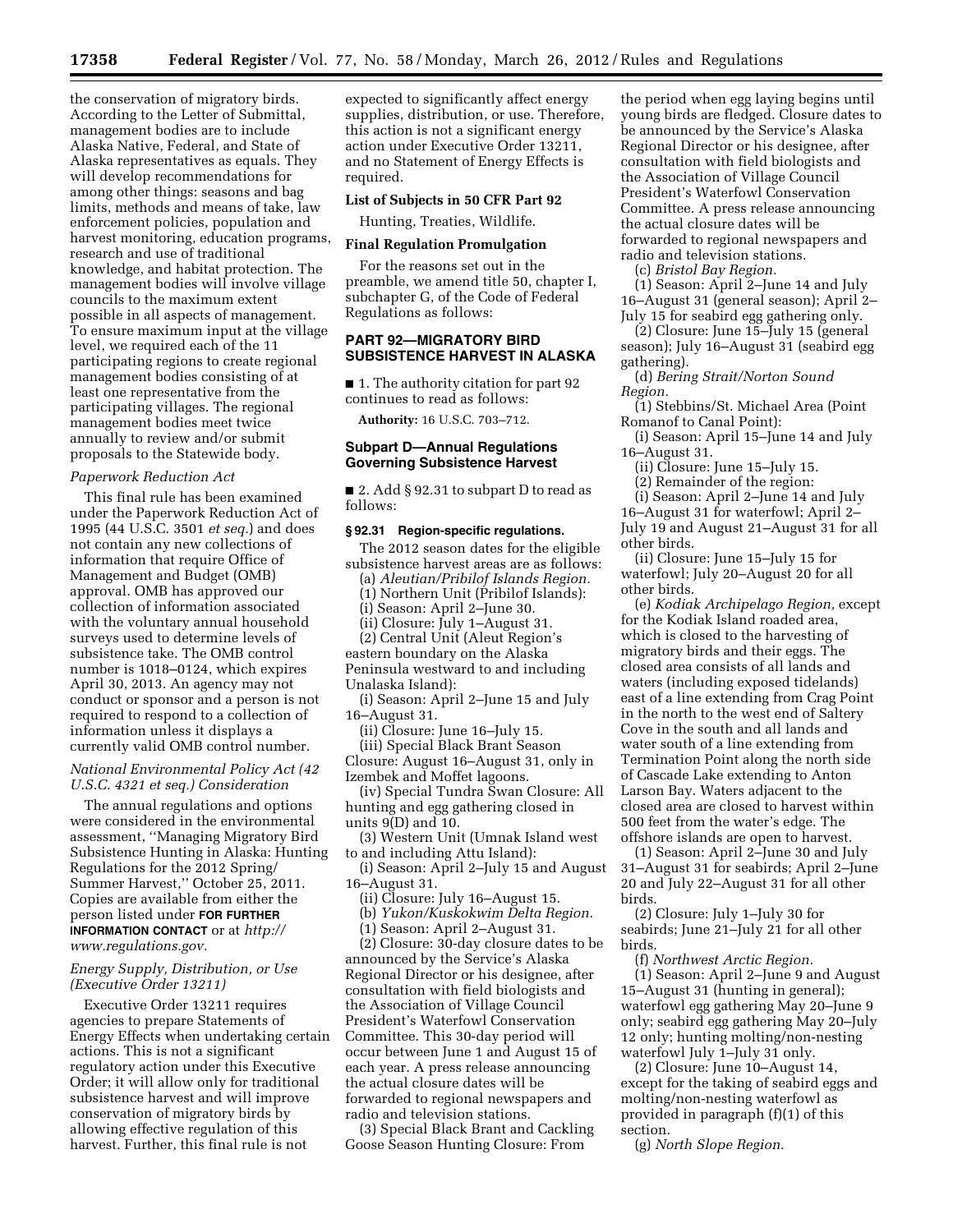the conservation of migratory birds. According to the Letter of Submittal, management bodies are to include Alaska Native, Federal, and State of Alaska representatives as equals. They will develop recommendations for among other things: seasons and bag limits, methods and means of take, law enforcement policies, population and harvest monitoring, education programs, research and use of traditional knowledge, and habitat protection. The management bodies will involve village councils to the maximum extent possible in all aspects of management. To ensure maximum input at the village level, we required each of the 11 participating regions to create regional management bodies consisting of at least one representative from the participating villages. The regional management bodies meet twice annually to review and/or submit proposals to the Statewide body.

#### *Paperwork Reduction Act*

This final rule has been examined under the Paperwork Reduction Act of 1995 (44 U.S.C. 3501 *et seq.*) and does not contain any new collections of information that require Office of Management and Budget (OMB) approval. OMB has approved our collection of information associated with the voluntary annual household surveys used to determine levels of subsistence take. The OMB control number is 1018–0124, which expires April 30, 2013. An agency may not conduct or sponsor and a person is not required to respond to a collection of information unless it displays a currently valid OMB control number.

### *National Environmental Policy Act (42 U.S.C. 4321 et seq.) Consideration*

The annual regulations and options were considered in the environmental assessment, ''Managing Migratory Bird Subsistence Hunting in Alaska: Hunting Regulations for the 2012 Spring/ Summer Harvest,'' October 25, 2011. Copies are available from either the person listed under **FOR FURTHER INFORMATION CONTACT** or at *[http://](http://www.regulations.gov) [www.regulations.gov.](http://www.regulations.gov)* 

# *Energy Supply, Distribution, or Use (Executive Order 13211)*

Executive Order 13211 requires agencies to prepare Statements of Energy Effects when undertaking certain actions. This is not a significant regulatory action under this Executive Order; it will allow only for traditional subsistence harvest and will improve conservation of migratory birds by allowing effective regulation of this harvest. Further, this final rule is not

expected to significantly affect energy supplies, distribution, or use. Therefore, this action is not a significant energy action under Executive Order 13211, and no Statement of Energy Effects is required.

#### **List of Subjects in 50 CFR Part 92**

Hunting, Treaties, Wildlife.

# **Final Regulation Promulgation**

For the reasons set out in the preamble, we amend title 50, chapter I, subchapter G, of the Code of Federal Regulations as follows:

### **PART 92—MIGRATORY BIRD SUBSISTENCE HARVEST IN ALASKA**

■ 1. The authority citation for part 92 continues to read as follows:

**Authority:** 16 U.S.C. 703–712.

## **Subpart D—Annual Regulations Governing Subsistence Harvest**

■ 2. Add § 92.31 to subpart D to read as follows:

#### **§ 92.31 Region-specific regulations.**

The 2012 season dates for the eligible subsistence harvest areas are as follows:

(a) *Aleutian/Pribilof Islands Region.* 

(1) Northern Unit (Pribilof Islands):

(i) Season: April 2–June 30.

(ii) Closure: July 1–August 31.

(2) Central Unit (Aleut Region's eastern boundary on the Alaska Peninsula westward to and including Unalaska Island):

(i) Season: April 2–June 15 and July 16–August 31.

(ii) Closure: June 16–July 15.

(iii) Special Black Brant Season Closure: August 16–August 31, only in Izembek and Moffet lagoons.

(iv) Special Tundra Swan Closure: All hunting and egg gathering closed in units 9(D) and 10.

(3) Western Unit (Umnak Island west to and including Attu Island):

(i) Season: April 2–July 15 and August 16–August 31.

(ii) Closure: July 16–August 15.

(b) *Yukon/Kuskokwim Delta Region.* 

(1) Season: April 2–August 31.

(2) Closure: 30-day closure dates to be announced by the Service's Alaska Regional Director or his designee, after consultation with field biologists and the Association of Village Council President's Waterfowl Conservation Committee. This 30-day period will occur between June 1 and August 15 of each year. A press release announcing the actual closure dates will be forwarded to regional newspapers and radio and television stations.

(3) Special Black Brant and Cackling Goose Season Hunting Closure: From

the period when egg laying begins until young birds are fledged. Closure dates to be announced by the Service's Alaska Regional Director or his designee, after consultation with field biologists and the Association of Village Council President's Waterfowl Conservation Committee. A press release announcing the actual closure dates will be forwarded to regional newspapers and radio and television stations.

(c) *Bristol Bay Region.* 

(1) Season: April 2–June 14 and July 16–August 31 (general season); April 2–

July 15 for seabird egg gathering only. (2) Closure: June 15–July 15 (general

season); July 16–August 31 (seabird egg gathering).

(d) *Bering Strait/Norton Sound Region.* 

(1) Stebbins/St. Michael Area (Point Romanof to Canal Point):

(i) Season: April 15–June 14 and July 16–August 31.

(ii) Closure: June 15–July 15.

(2) Remainder of the region:

(i) Season: April 2–June 14 and July 16–August 31 for waterfowl; April 2–

July 19 and August 21–August 31 for all other birds.

(ii) Closure: June 15–July 15 for waterfowl; July 20–August 20 for all other birds.

(e) *Kodiak Archipelago Region,* except for the Kodiak Island roaded area, which is closed to the harvesting of migratory birds and their eggs. The closed area consists of all lands and waters (including exposed tidelands) east of a line extending from Crag Point in the north to the west end of Saltery Cove in the south and all lands and water south of a line extending from Termination Point along the north side of Cascade Lake extending to Anton Larson Bay. Waters adjacent to the closed area are closed to harvest within 500 feet from the water's edge. The offshore islands are open to harvest.

(1) Season: April 2–June 30 and July 31–August 31 for seabirds; April 2–June 20 and July 22–August 31 for all other birds.

(2) Closure: July 1–July 30 for seabirds; June 21–July 21 for all other birds.

(f) *Northwest Arctic Region.*  (1) Season: April 2–June 9 and August 15–August 31 (hunting in general); waterfowl egg gathering May 20–June 9 only; seabird egg gathering May 20–July 12 only; hunting molting/non-nesting waterfowl July 1–July 31 only.

(2) Closure: June 10–August 14, except for the taking of seabird eggs and molting/non-nesting waterfowl as provided in paragraph (f)(1) of this section.

(g) *North Slope Region.*